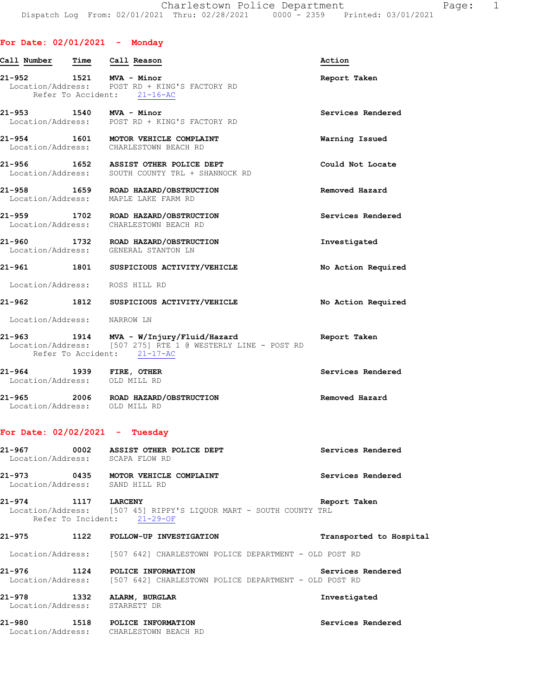## **For Date: 02/01/2021 - Monday**

| Call Number                 | Time | Call Reason                                                                                                                    | Action             |
|-----------------------------|------|--------------------------------------------------------------------------------------------------------------------------------|--------------------|
|                             |      | 21-952 1521 MVA - Minor<br>Location/Address: POST RD + KING'S FACTORY RD<br>Refer To Accident: 21-16-AC                        | Report Taken       |
| 21-953 1540 MVA - Minor     |      | Location/Address: POST RD + KING'S FACTORY RD                                                                                  | Services Rendered  |
| 21-954                      |      | 1-954 1601 MOTOR VEHICLE COMPLAINT<br>Location/Address: CHARLESTOWN BEACH RD                                                   | Warning Issued     |
|                             |      | 21-956 1652 ASSIST OTHER POLICE DEPT<br>Location/Address: SOUTH COUNTY TRL + SHANNOCK RD                                       | Could Not Locate   |
|                             |      | 21-958 1659 ROAD HAZARD/OBSTRUCTION<br>Location/Address: MAPLE LAKE FARM RD                                                    | Removed Hazard     |
| 21-959                      |      | 1702 ROAD HAZARD/OBSTRUCTION<br>Location/Address: CHARLESTOWN BEACH RD                                                         | Services Rendered  |
|                             |      | 21-960 1732 ROAD HAZARD/OBSTRUCTION<br>Location/Address: GENERAL STANTON LN                                                    | Investigated       |
|                             |      | 21-961 1801 SUSPICIOUS ACTIVITY/VEHICLE                                                                                        | No Action Required |
|                             |      | Location/Address: ROSS HILL RD                                                                                                 |                    |
|                             |      | 21-962 1812 SUSPICIOUS ACTIVITY/VEHICLE                                                                                        | No Action Required |
| Location/Address: NARROW LN |      |                                                                                                                                |                    |
| 21-963                      |      | 1914 MVA - W/Injury/Fluid/Hazard<br>Location/Address: [507 275] RTE 1 @ WESTERLY LINE - POST RD<br>Refer To Accident: 21-17-AC | Report Taken       |
| 21-964 1939 FIRE, OTHER     |      | Location/Address: OLD MILL RD                                                                                                  | Services Rendered  |
|                             |      | 21-965 2006 ROAD HAZARD/OBSTRUCTION<br>Location/Address: OLD MILL RD                                                           | Removed Hazard     |
|                             |      | For Date: $02/02/2021 -$ Tuesday                                                                                               |                    |
|                             |      | 21-967 0002 ASSIST OTHER POLICE DEPT<br>Location/Address: SCAPA FLOW RD                                                        | Services Rendered  |

**21-973 0435 MOTOR VEHICLE COMPLAINT Services Rendered**  Location/Address: SAND HILL RD

**21-974 1117 LARCENY Report Taken**  Location/Address: [507 45] RIPPY'S LIQUOR MART - SOUTH COUNTY TRL Refer To Incident: 21-29-OF

Location/Address: CHARLESTOWN BEACH RD

# **21-975 1122 FOLLOW-UP INVESTIGATION Transported to Hospital**  Location/Address: [507 642] CHARLESTOWN POLICE DEPARTMENT - OLD POST RD **21-976 1124 POLICE INFORMATION Services Rendered**  Location/Address: [507 642] CHARLESTOWN POLICE DEPARTMENT - OLD POST RD **21-978 1332 ALARM, BURGLAR Investigated**  Location/Address: STARRETT DR **21-980 1518 POLICE INFORMATION Services Rendered**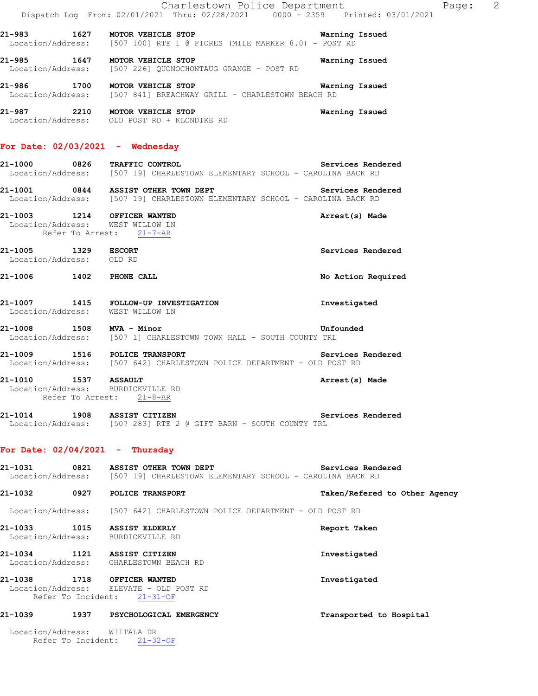|                                                 |                    | Charlestown Police Department<br>Dispatch Log From: 02/01/2021 Thru: 02/28/2021 0000 <sup>-</sup> 2359 Printed: 03/01/2021        | Page: 2                       |
|-------------------------------------------------|--------------------|-----------------------------------------------------------------------------------------------------------------------------------|-------------------------------|
|                                                 |                    | 21-983 1627 MOTOR VEHICLE STOP 120 18 Warning Issued<br>Location/Address: [507 100] RTE 1 @ FIORES (MILE MARKER 8.0) - POST RD    |                               |
|                                                 |                    | 21-985 1647 MOTOR VEHICLE STOP<br>Location/Address: [507 226] QUONOCHONTAUG GRANGE - POST RD                                      | Warning Issued                |
|                                                 |                    | 21-986 1700 MOTOR VEHICLE STOP<br><b>Warning Issued</b><br>Location/Address: [507 841] BREACHWAY GRILL - CHARLESTOWN BEACH RD     |                               |
|                                                 |                    | 21-987 2210 MOTOR VEHICLE STOP<br>Location/Address: OLD POST RD + KLONDIKE RD                                                     | Warning Issued                |
|                                                 |                    | For Date: $02/03/2021$ - Wednesday                                                                                                |                               |
|                                                 |                    | 21-1000 0826 TRAFFIC CONTROL Services Rend<br>Location/Address: [507 19] CHARLESTOWN ELEMENTARY SCHOOL - CAROLINA BACK RD         | Services Rendered             |
|                                                 |                    | 21-1001 0844 ASSIST OTHER TOWN DEPT Services Rendered Location/Address: [507 19] CHARLESTOWN ELEMENTARY SCHOOL - CAROLINA BACK RD |                               |
|                                                 |                    | 21-1003 1214 OFFICER WANTED<br>Location/Address: WEST WILLOW LN<br>Refer To Arrest: 21-7-AR                                       | Arrest(s) Made                |
| 21-1005 1329 ESCORT<br>Location/Address: OLD RD |                    |                                                                                                                                   | Services Rendered             |
| 21-1006 1402 PHONE CALL                         |                    |                                                                                                                                   | No Action Required            |
|                                                 |                    | 21-1007 1415 FOLLOW-UP INVESTIGATION<br>Location/Address: WEST WILLOW LN                                                          | Investigated                  |
| 21-1008 1508 MVA - Minor                        |                    | <b>Example 2</b> Unfounded<br>Location/Address: [507 1] CHARLESTOWN TOWN HALL - SOUTH COUNTY TRL                                  |                               |
|                                                 |                    | 21-1009 1516 POLICE TRANSPORT Services<br>Location/Address: [507 642] CHARLESTOWN POLICE DEPARTMENT - OLD POST RD                 | Services Rendered             |
|                                                 | Refer To Arrest:   | 21-1010 1537 ASSAULT<br>Location/Address: BURDICKVILLE RD<br>$21 - 8 - AR$                                                        | Arrest(s) Made                |
|                                                 |                    | 21-1014 1908 ASSIST CITIZEN<br>Location/Address: [507 283] RTE 2 @ GIFT BARN - SOUTH COUNTY TRL                                   | Services Rendered             |
| For Date: $02/04/2021$ - Thursday               |                    |                                                                                                                                   |                               |
| 21-1031                                         |                    | 0821 ASSIST OTHER TOWN DEPT<br>Location/Address: [507 19] CHARLESTOWN ELEMENTARY SCHOOL - CAROLINA BACK RD                        | Services Rendered             |
|                                                 |                    | 21-1032 0927 POLICE TRANSPORT                                                                                                     | Taken/Refered to Other Agency |
|                                                 |                    | Location/Address: [507 642] CHARLESTOWN POLICE DEPARTMENT - OLD POST RD                                                           |                               |
|                                                 |                    | 21-1033 1015 ASSIST ELDERLY<br>Location/Address: BURDICKVILLE RD                                                                  | Report Taken                  |
|                                                 |                    | 21-1034 1121 ASSIST CITIZEN<br>Location/Address: CHARLESTOWN BEACH RD                                                             | Investigated                  |
|                                                 | Refer To Incident: | 21-1038 1718 OFFICER WANTED<br>Location/Address: ELEVATE - OLD POST RD<br>$21 - 31 - OF$                                          | Investigated                  |
| 21-1039                                         |                    | 1937 PSYCHOLOGICAL EMERGENCY                                                                                                      | Transported to Hospital       |
| Location/Address: WIITALA DR                    |                    | Refer To Incident: 21-32-OF                                                                                                       |                               |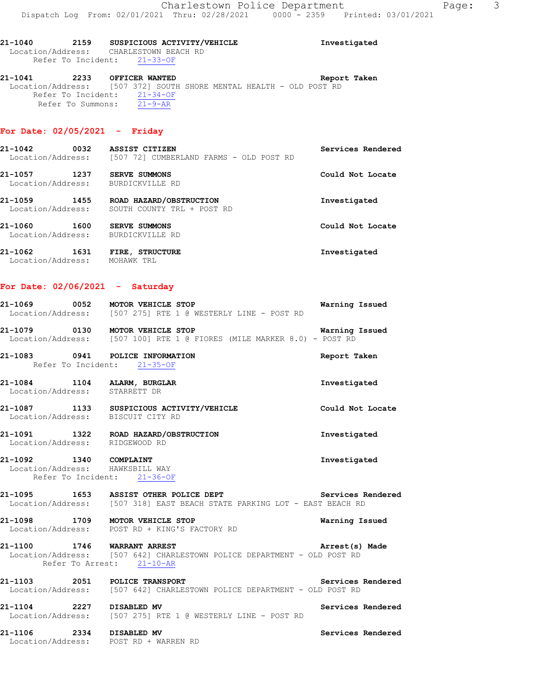**21-1040 2159 SUSPICIOUS ACTIVITY/VEHICLE Investigated**  Location/Address: CHARLESTOWN BEACH RD Refer To Incident: 21-33-OF

**21-1041 2233 OFFICER WANTED Report Taken**  Location/Address: [507 372] SOUTH SHORE MENTAL HEALTH - OLD POST RD Refer To Incident: 21-34-OF Refer To Summons: 21-9-AR

#### **For Date: 02/05/2021 - Friday**

| 21-1042<br>0032<br>Location/Address: | ASSIST CITIZEN<br>[507 72] CUMBERLAND FARMS - OLD POST RD | Services Rendered |
|--------------------------------------|-----------------------------------------------------------|-------------------|
| 21-1057<br>1237<br>Location/Address: | SERVE SUMMONS<br>BURDICKVILLE RD                          | Could Not Locate  |
| 1455<br>21-1059<br>Location/Address: | ROAD HAZARD/OBSTRUCTION<br>SOUTH COUNTY TRL + POST RD     | Investigated      |
| 21-1060<br>1600<br>Location/Address: | SERVE SUMMONS<br>BURDICKVILLE RD                          | Could Not Locate  |
| 1631<br>21-1062<br>Location/Address: | FIRE, STRUCTURE<br>MOHAWK TRL                             | Investigated      |

#### **For Date: 02/06/2021 - Saturday**

| 21-1069           | 0052 | MOTOR VEHICLE STOP |  |  |                                           |  |  | Warning Issued |  |
|-------------------|------|--------------------|--|--|-------------------------------------------|--|--|----------------|--|
| Location/Address: |      |                    |  |  | [507 275] RTE 1 @ WESTERLY LINE - POST RD |  |  |                |  |

**21-1079 0130 MOTOR VEHICLE STOP Warning Issued**  Location/Address: [507 100] RTE 1 @ FIORES (MILE MARKER 8.0) - POST RD

**21-1083 0941 POLICE INFORMATION Report Taken**  Refer To Incident: 21-35-OF

**21-1084 1104 ALARM, BURGLAR Investigated**  Location/Address: STARRETT DR

**21-1087 1133 SUSPICIOUS ACTIVITY/VEHICLE Could Not Locate**  Location/Address: BISCUIT CITY RD

**21-1091 1322 ROAD HAZARD/OBSTRUCTION Investigated**  Location/Address: RIDGEWOOD RD

**21-1092 1340 COMPLAINT Investigated**  Location/Address: HAWKSBILL WAY Refer To Incident: 21-36-OF

21-1095 **1653** ASSIST OTHER POLICE DEPT **Services Rendered** Location/Address: [507 318] EAST BEACH STATE PARKING LOT - EAST BEACH RD

**21-1098 1709 MOTOR VEHICLE STOP Warning Issued**  Location/Address: POST RD + KING'S FACTORY RD

**21-1100 1746 WARRANT ARREST Arrest(s) Made**  Location/Address: [507 642] CHARLESTOWN POLICE DEPARTMENT - OLD POST RD Refer To Arrest: 21-10-AR

**21-1103 2051 POLICE TRANSPORT Services Rendered**  Location/Address: [507 642] CHARLESTOWN POLICE DEPARTMENT - OLD POST RD

**21-1104 2227 DISABLED MV Services Rendered**  Location/Address: [507 275] RTE 1 @ WESTERLY LINE - POST RD

**21-1106 2334 DISABLED MV Services Rendered**  Location/Address: POST RD + WARREN RD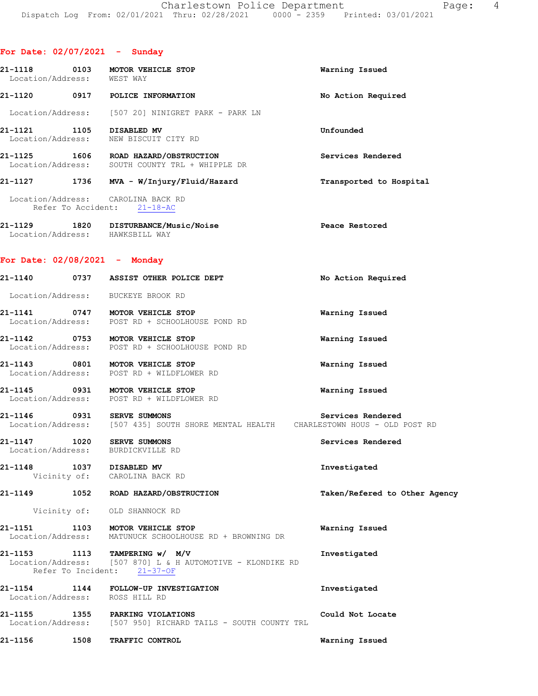| Location/Address: WEST WAY |      | 21-1118 0103 MOTOR VEHICLE STOP                                                                                            | Warning Issued                |
|----------------------------|------|----------------------------------------------------------------------------------------------------------------------------|-------------------------------|
|                            |      | 21-1120 0917 POLICE INFORMATION                                                                                            | No Action Required            |
|                            |      | Location/Address: [507 20] NINIGRET PARK - PARK LN                                                                         |                               |
|                            |      | 21-1121 1105 DISABLED MV<br>Location/Address: NEW BISCUIT CITY RD                                                          | Unfounded                     |
|                            |      | 21-1125 1606 ROAD HAZARD/OBSTRUCTION<br>Location/Address: SOUTH COUNTY TRL + WHIPPLE DR                                    | Services Rendered             |
|                            |      |                                                                                                                            | Transported to Hospital       |
|                            |      | Location/Address: CAROLINA BACK RD<br>Refer To Accident: 21-18-AC                                                          |                               |
|                            |      | 21-1129   1820   DISTURBANCE/Music/Noise<br>Location/Address:   HAWKSBILL WAY                                              | Peace Restored                |
|                            |      | For Date: $02/08/2021$ - Monday                                                                                            |                               |
|                            |      | 21-1140 0737 ASSIST OTHER POLICE DEPT                                                                                      | No Action Required            |
|                            |      | Location/Address: BUCKEYE BROOK RD                                                                                         |                               |
|                            |      | 21-1141 0747 MOTOR VEHICLE STOP<br>Location/Address: POST RD + SCHOOLHOUSE POND RD                                         | Warning Issued                |
|                            |      | 21-1142 0753 MOTOR VEHICLE STOP<br>Location/Address: POST RD + SCHOOLHOUSE POND RD                                         | Warning Issued                |
|                            |      | 21-1143 0801 MOTOR VEHICLE STOP<br>Location/Address: POST RD + WILDFLOWER RD                                               | Warning Issued                |
|                            |      | 21-1145 0931 MOTOR VEHICLE STOP<br>Location/Address: POST RD + WILDFLOWER RD                                               | Warning Issued                |
|                            |      | 21-1146 0931 SERVE SUMMONS<br>Location/Address: [507 435] SOUTH SHORE MENTAL HEALTH CHARLESTOWN HOUS - OLD POST RD         | Services Rendered             |
|                            |      | 21-1147 1020 SERVE SUMMONS<br>Location/Address: BURDICKVILLE RD                                                            | Services Rendered             |
|                            |      | 21-1148 1037 DISABLED MV<br>Vicinity of: CAROLINA BACK RD                                                                  | Investigated                  |
|                            |      | 21-1149 1052 ROAD HAZARD/OBSTRUCTION                                                                                       | Taken/Refered to Other Agency |
|                            |      | Vicinity of: OLD SHANNOCK RD                                                                                               |                               |
| 21–1151                    |      | 1103 MOTOR VEHICLE STOP<br>Location/Address: MATUNUCK SCHOOLHOUSE RD + BROWNING DR                                         | Warning Issued                |
|                            |      | 21-1153 1113 TAMPERING w/ M/V<br>Location/Address: [507 870] L & H AUTOMOTIVE - KLONDIKE RD<br>Refer To Incident: 21-37-OF | Investigated                  |
|                            |      | 21-1154 1144 FOLLOW-UP INVESTIGATION<br>Location/Address: ROSS HILL RD                                                     | Investigated                  |
| 21-1155                    |      | 1355 PARKING VIOLATIONS<br>Location/Address: [507 950] RICHARD TAILS - SOUTH COUNTY TRL                                    | Could Not Locate              |
| 21-1156                    | 1508 | TRAFFIC CONTROL                                                                                                            | Warning Issued                |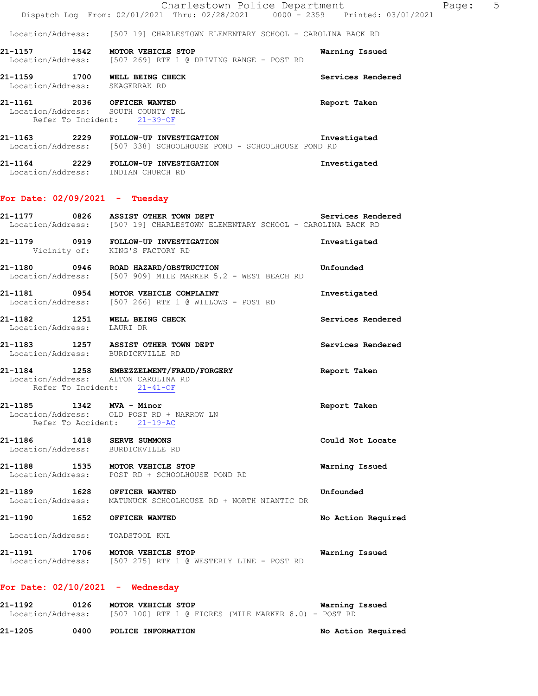|                                                                                                  | Charlestown Police Department<br>Dispatch Log From: 02/01/2021 Thru: 02/28/2021 0000 - 2359 Printed: 03/01/2021          | Page: 5            |  |
|--------------------------------------------------------------------------------------------------|--------------------------------------------------------------------------------------------------------------------------|--------------------|--|
|                                                                                                  | Location/Address: [507 19] CHARLESTOWN ELEMENTARY SCHOOL - CAROLINA BACK RD                                              |                    |  |
| 21-1157 1542 MOTOR VEHICLE STOP                                                                  | Location/Address: [507 269] RTE 1 @ DRIVING RANGE - POST RD                                                              | Warning Issued     |  |
| 21-1159 1700 WELL BEING CHECK<br>Location/Address: SKAGERRAK RD                                  |                                                                                                                          | Services Rendered  |  |
| 21-1161 2036 OFFICER WANTED<br>Location/Address: SOUTH COUNTY TRL<br>Refer To Incident: 21-39-OF |                                                                                                                          | Report Taken       |  |
|                                                                                                  | 21-1163  2229  FOLLOW-UP INVESTIGATION   Inve<br>Location/Address: [507 338] SCHOOLHOUSE POND - SCHOOLHOUSE POND RD      | Investigated       |  |
| Location/Address: INDIAN CHURCH RD                                                               | 21-1164 2229 FOLLOW-UP INVESTIGATION                                                                                     | Investigated       |  |
| For Date: $02/09/2021$ - Tuesday                                                                 |                                                                                                                          |                    |  |
|                                                                                                  | 21-1177 0826 ASSIST OTHER TOWN DEPT<br>Location/Address: [507 19] CHARLESTOWN ELEMENTARY SCHOOL - CAROLINA BACK RD       | Services Rendered  |  |
| Vicinity of: KING'S FACTORY RD                                                                   | 21-1179 0919 FOLLOW-UP INVESTIGATION                                                                                     | Investigated       |  |
|                                                                                                  | 21-1180 0946 ROAD HAZARD/OBSTRUCTION CONTROLLER Unfounded<br>Location/Address: [507 909] MILE MARKER 5.2 - WEST BEACH RD |                    |  |
|                                                                                                  | 21-1181 0954 MOTOR VEHICLE COMPLAINT<br>Location/Address: [507 266] RTE 1 @ WILLOWS - POST RD                            | Investigated       |  |
| 21-1182 1251 WELL BEING CHECK<br>Location/Address: LAURI DR                                      |                                                                                                                          | Services Rendered  |  |
| Location/Address: BURDICKVILLE RD                                                                | 21-1183 1257 ASSIST OTHER TOWN DEPT                                                                                      | Services Rendered  |  |
| Location/Address: ALTON CAROLINA RD<br>Refer To Incident: 21-41-OF                               | 21-1184 1258 EMBEZZELMENT/FRAUD/FORGERY                                                                                  | Report Taken       |  |
| 21-1185   1342   MVA - Minor                                                                     | Location/Address: OLD POST RD + NARROW LN<br>Refer To Accident: 21-19-AC                                                 | Report Taken       |  |
| 21-1186 1418 SERVE SUMMONS<br>Location/Address: BURDICKVILLE RD                                  |                                                                                                                          | Could Not Locate   |  |
| 21-1188 1535 MOTOR VEHICLE STOP                                                                  | Location/Address: POST RD + SCHOOLHOUSE POND RD                                                                          | Warning Issued     |  |
| 21-1189   1628   OFFICER WANTED                                                                  | Location/Address: MATUNUCK SCHOOLHOUSE RD + NORTH NIANTIC DR                                                             | Unfounded          |  |
| 21-1190 1652 OFFICER WANTED                                                                      |                                                                                                                          | No Action Required |  |
| Location/Address: TOADSTOOL KNL                                                                  |                                                                                                                          |                    |  |
| 21-1191 1706 MOTOR VEHICLE STOP                                                                  | Location/Address: [507 275] RTE 1 @ WESTERLY LINE - POST RD                                                              | Warning Issued     |  |
| For Date: $02/10/2021$ - Wednesday                                                               |                                                                                                                          |                    |  |
| 21-1192                                                                                          | 0126 MOTOR VEHICLE STOP<br>Location/Address: [507 100] RTE 1 @ FIORES (MILE MARKER 8.0) - POST RD                        | Warning Issued     |  |

**21-1205 0400 POLICE INFORMATION No Action Required**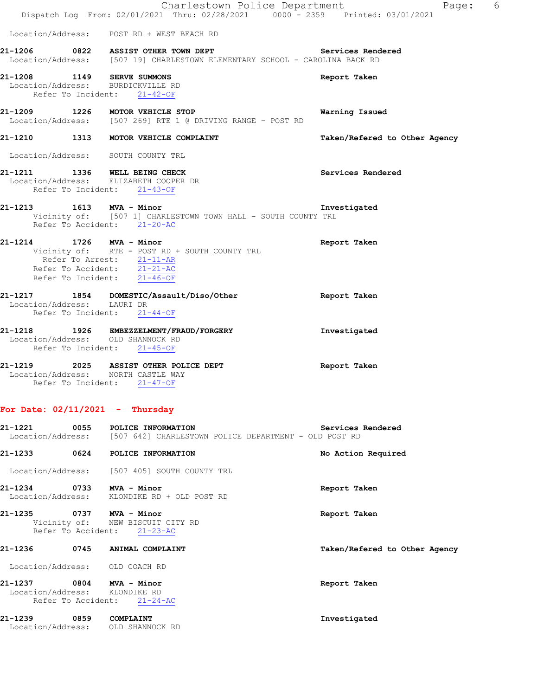|                            |                                                                                                                                           | 6<br>Charlestown Police Department<br>Page:<br>Dispatch Log From: 02/01/2021 Thru: 02/28/2021 0000 <sup>-</sup> 2359 Printed: 03/01/2021 |
|----------------------------|-------------------------------------------------------------------------------------------------------------------------------------------|------------------------------------------------------------------------------------------------------------------------------------------|
|                            | Location/Address: POST RD + WEST BEACH RD                                                                                                 |                                                                                                                                          |
|                            |                                                                                                                                           | 21-1206 0822 ASSIST OTHER TOWN DEPT Services Rendered<br>Location/Address: [507 19] CHARLESTOWN ELEMENTARY SCHOOL - CAROLINA BACK RD     |
|                            | 21-1208 1149 SERVE SUMMONS<br>Location/Address: BURDICKVILLE RD<br>Refer To Incident: 21-42-OF                                            | Report Taken                                                                                                                             |
|                            | 21-1209 1226 MOTOR VEHICLE STOP<br>Location/Address: [507 269] RTE 1 @ DRIVING RANGE - POST RD                                            | Warning Issued                                                                                                                           |
|                            | 21-1210 1313 MOTOR VEHICLE COMPLAINT                                                                                                      | Taken/Refered to Other Agency                                                                                                            |
|                            | Location/Address: SOUTH COUNTY TRL                                                                                                        |                                                                                                                                          |
|                            | 21-1211 1336 WELL BEING CHECK<br>Location/Address: ELIZABETH COOPER DR<br>Refer To Incident: 21-43-OF                                     | Services Rendered                                                                                                                        |
|                            | 1613 MVA - Minor<br>Vicinity of: [507 1] CHARLESTOWN TOWN HALL - SOUTH COUNTY TRL<br>Refer To Accident: 21-20-AC                          | Investigated                                                                                                                             |
| 21-1214 1726 MVA - Minor   | Vicinity of: RTE - POST RD + SOUTH COUNTY TRL<br>Refer To Arrest: $\frac{21-11-AR}{21-21-AC}$<br>Refer To Incident: $\overline{21-46-OF}$ | Report Taken                                                                                                                             |
| Location/Address: LAURI DR | 21-1217 1854 DOMESTIC/Assault/Diso/Other<br>Refer To Incident: 21-44-OF                                                                   | Report Taken                                                                                                                             |
|                            | 21-1218 1926 EMBEZZELMENT/FRAUD/FORGERY<br>Location/Address: OLD SHANNOCK RD<br>Refer To Incident: 21-45-OF                               | Investigated                                                                                                                             |
|                            | 21-1219 2025 ASSIST OTHER POLICE DEPT<br>Location/Address: NORTH CASTLE WAY<br>Refer To Incident: 21-47-OF                                | Report Taken                                                                                                                             |
|                            | For Date: $02/11/2021$ - Thursday                                                                                                         |                                                                                                                                          |
| 21-1221<br>0055            | POLICE INFORMATION                                                                                                                        | Services Rendered<br>Location/Address: [507 642] CHARLESTOWN POLICE DEPARTMENT - OLD POST RD                                             |
| 21-1233                    | 0624 POLICE INFORMATION                                                                                                                   | No Action Required                                                                                                                       |
|                            | Location/Address: [507 405] SOUTH COUNTY TRL                                                                                              |                                                                                                                                          |
| 21-1234 0733 MVA - Minor   | Location/Address: KLONDIKE RD + OLD POST RD                                                                                               | Report Taken                                                                                                                             |
| 21-1235 0737 MVA - Minor   |                                                                                                                                           | Report Taken                                                                                                                             |
|                            | Vicinity of: NEW BISCUIT CITY RD<br>Refer To Accident: 21-23-AC                                                                           |                                                                                                                                          |
| 21-1236                    | 0745 ANIMAL COMPLAINT                                                                                                                     | Taken/Refered to Other Agency                                                                                                            |
|                            | Location/Address: OLD COACH RD                                                                                                            |                                                                                                                                          |
| 21-1237 0804 MVA - Minor   | Location/Address: KLONDIKE RD<br>Refer To Accident: 21-24-AC                                                                              | Report Taken                                                                                                                             |
| 21-1239 0859               | COMPLAINT<br>Location/Address: OLD SHANNOCK RD                                                                                            | Investigated                                                                                                                             |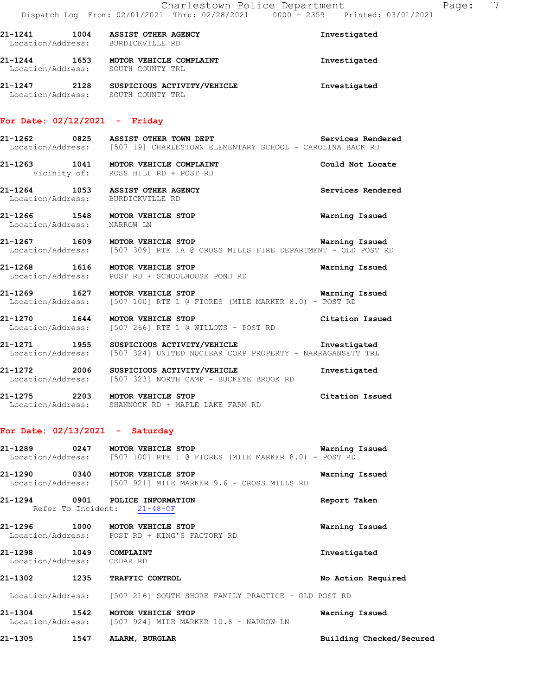| 21-1241           | 1004 | <b>ASSIST OTHER AGENCY</b> | Investigated |
|-------------------|------|----------------------------|--------------|
| Location/Address: |      | BURDICKVILLE RD            |              |
| 21-1244           | 1653 | MOTOR VEHICLE COMPLAINT    | Investigated |
| Location/Address: |      | SOUTH COUNTY TRL           |              |

**21-1247 2128 SUSPICIOUS ACTIVITY/VEHICLE Investigated**  Location/Address: SOUTH COUNTY TRL

## **For Date: 02/12/2021 - Friday**

**21-1262 0825 ASSIST OTHER TOWN DEPT Services Rendered**  Location/Address: [507 19] CHARLESTOWN ELEMENTARY SCHOOL - CAROLINA BACK RD **21-1263 1041 MOTOR VEHICLE COMPLAINT Could Not Locate**  Vicinity of: ROSS HILL RD + POST RD **21-1264 1053 ASSIST OTHER AGENCY Services Rendered**  Location/Address: BURDICKVILLE RD **21-1266 1548 MOTOR VEHICLE STOP Warning Issued**  Location/Address: NARROW LN **21-1267 1609 MOTOR VEHICLE STOP WARE MARGE WARE USE**<br>Location/Address: [507 309] RTE 1A @ CROSS MILLS FIRE DEPARTMENT - OLD POST R [507 309] RTE 1A @ CROSS MILLS FIRE DEPARTMENT - OLD POST RD **21-1268 1616 MOTOR VEHICLE STOP Warning Issued**  Location/Address: POST RD + SCHOOLHOUSE POND RD **21-1269 1627 MOTOR VEHICLE STOP Warning Issued**  Location/Address: [507 100] RTE 1 @ FIORES (MILE MARKER 8.0) - POST RD

**21-1270 1644 MOTOR VEHICLE STOP Citation Issued** Constant Constant Constant Constant Constant Constant Constant<br>
Location/Address: [507 266] RTE 1 @ WILLOWS - POST RD [507 266] RTE 1 @ WILLOWS - POST RD

**21-1271 1955 SUSPICIOUS ACTIVITY/VEHICLE Investigated**  Location/Address: [507 324] UNITED NUCLEAR CORP PROPERTY - NARRAGANSETT TRL

**21-1272 2006 SUSPICIOUS ACTIVITY/VEHICLE Investigated**  Location/Address: [507 323] NORTH CAMP - BUCKEYE BROOK RD

**21-1275 2203 MOTOR VEHICLE STOP Citation Issued**  Location/Address: SHANNOCK RD + MAPLE LAKE FARM RD

#### **For Date: 02/13/2021 - Saturday**

**21-1289 0247 MOTOR VEHICLE STOP Warning Issued**  Location/Address: [507 100] RTE 1 @ FIORES (MILE MARKER 8.0) - POST RD **21-1290 0340 MOTOR VEHICLE STOP Warning Issued**  Location/Address: [507 921] MILE MARKER 9.6 - CROSS MILLS RD

**21-1294 0901 POLICE INFORMATION Report Taken**  Refer To Incident: 21-48-OF **21-1296 1000 MOTOR VEHICLE STOP Warning Issued**  Location/Address: POST RD + KING'S FACTORY RD

**21-1298 1049 COMPLAINT Investigated** 

Location/Address: CEDAR RD

**21-1302 1235 TRAFFIC CONTROL No Action Required** 

Location/Address: [507 216] SOUTH SHORE FAMILY PRACTICE - OLD POST RD

**21-1304 1542 MOTOR VEHICLE STOP WARKER 10.6 - NARROW LN Warning Issued** Location/Address: [507 924] MILE MARKER 10.6 - NARROW LN [507 924] MILE MARKER 10.6 - NARROW LN

**21-1305 1547 ALARM, BURGLAR Building Checked/Secured**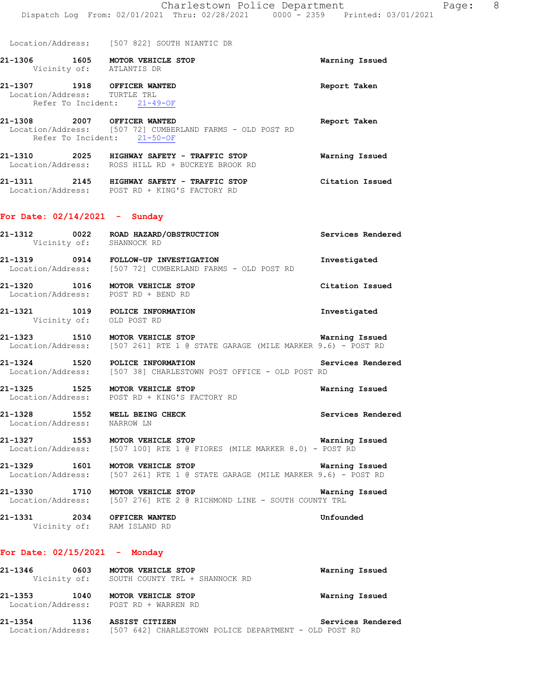Location/Address: [507 822] SOUTH NIANTIC DR

**21-1306 1605 MOTOR VEHICLE STOP Warning Issued**  Vicinity of: ATLANTIS DR **21-1307 1918 OFFICER WANTED Report Taken**  Location/Address: TURTLE TRL Refer To Incident: 21-49-OF

**21-1308 2007 OFFICER WANTED Report Taken**  Location/Address: [507 72] CUMBERLAND FARMS - OLD POST RD Refer To Incident: 21-50-OF

**21-1310 2025 HIGHWAY SAFETY - TRAFFIC STOP Warning Issued**  Location/Address: ROSS HILL RD + BUCKEYE BROOK RD

**21-1311 2145 HIGHWAY SAFETY - TRAFFIC STOP Citation Issued**  Location/Address: POST RD + KING'S FACTORY RD

## **For Date: 02/14/2021 - Sunday**

**21-1312 0022 ROAD HAZARD/OBSTRUCTION Services Rendered**  Vicinity of: SHANNOCK RD

**21-1319 0914 FOLLOW-UP INVESTIGATION Investigated**  Location/Address: [507 72] CUMBERLAND FARMS - OLD POST RD

**21-1320 1016 MOTOR VEHICLE STOP Citation Issued**  Location/Address: POST RD + BEND RD

**21-1321 1019 POLICE INFORMATION Investigated**  Vicinity of: OLD POST RD

**21-1323 1510 MOTOR VEHICLE STOP Warning Issued**  Location/Address: [507 261] RTE 1 @ STATE GARAGE (MILE MARKER 9.6) - POST RD

**21-1324 1520 POLICE INFORMATION Services Rendered**  Location/Address: [507 38] CHARLESTOWN POST OFFICE - OLD POST RD

**21-1325 1525 MOTOR VEHICLE STOP Warning Issued**  Location/Address: POST RD + KING'S FACTORY RD

**21-1328 1552 WELL BEING CHECK Services Rendered**  Location/Address: NARROW LN

**21-1327 1553 MOTOR VEHICLE STOP Warning Issued**  Location/Address: [507 100] RTE 1 @ FIORES (MILE MARKER 8.0) - POST RD

**21-1329 1601 MOTOR VEHICLE STOP Warning Issued**  Location/Address: [507 261] RTE 1 @ STATE GARAGE (MILE MARKER 9.6) - POST RD

**21-1330 1710 MOTOR VEHICLE STOP WARE WARE WARE ISSUED**<br>Location/Address: [507 276] RTE 2 @ RICHMOND LINE - SOUTH COUNTY TRL [507 276] RTE 2 @ RICHMOND LINE - SOUTH COUNTY TRL

**21-1331 2034 OFFICER WANTED Unfounded**  Vicinity of: RAM ISLAND RD

## **For Date: 02/15/2021 - Monday**

**21-1346 0603 MOTOR VEHICLE STOP Warning Issued**  Vicinity of: SOUTH COUNTY TRL + SHANNOCK RD **21-1353 1040 MOTOR VEHICLE STOP Warning Issued** 

 Location/Address: POST RD + WARREN RD **21-1354 1136 ASSIST CITIZEN Services Rendered** 

Location/Address: [507 642] CHARLESTOWN POLICE DEPARTMENT - OLD POST RD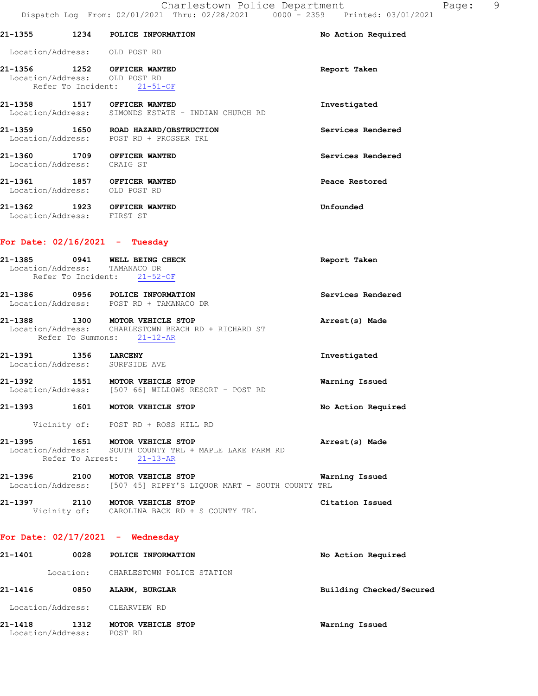|                            |                    | 21-1355 1234 POLICE INFORMATION                                                                                         | No Action Required       |
|----------------------------|--------------------|-------------------------------------------------------------------------------------------------------------------------|--------------------------|
|                            |                    | Location/Address: OLD POST RD                                                                                           |                          |
|                            | Refer To Incident: | 21-1356 1252 OFFICER WANTED<br>Location/Address: OLD POST RD<br>$21 - 51 - OF$                                          | Report Taken             |
|                            |                    | 21-1358 1517 OFFICER WANTED<br>Location/Address: SIMONDS ESTATE - INDIAN CHURCH RD                                      | Investigated             |
|                            |                    | 21-1359 1650 ROAD HAZARD/OBSTRUCTION<br>Location/Address: POST RD + PROSSER TRL                                         | Services Rendered        |
| Location/Address: CRAIG ST |                    | 21-1360 1709 OFFICER WANTED                                                                                             | Services Rendered        |
|                            |                    | 21-1361 1857 OFFICER WANTED<br>Location/Address: OLD POST RD                                                            | Peace Restored           |
| Location/Address: FIRST ST |                    | 21-1362 1923 OFFICER WANTED                                                                                             | Unfounded                |
|                            |                    | For Date: $02/16/2021$ - Tuesday                                                                                        |                          |
|                            |                    | 21-1385 0941 WELL BEING CHECK<br>Location/Address: TAMANACO DR<br>Refer To Incident: 21-52-OF                           | Report Taken             |
|                            |                    | 21-1386 0956 POLICE INFORMATION<br>Location/Address: POST RD + TAMANACO DR                                              | Services Rendered        |
|                            |                    | 21-1388 1300 MOTOR VEHICLE STOP<br>Location/Address: CHARLESTOWN BEACH RD + RICHARD ST<br>Refer To Summons: 21-12-AR    | Arrest(s) Made           |
|                            |                    | 21-1391 1356 LARCENY<br>Location/Address: SURFSIDE AVE                                                                  | Investigated             |
|                            |                    | 21-1392 1551 MOTOR VEHICLE STOP<br>Location/Address: [507 66] WILLOWS RESORT - POST RD                                  | Warning Issued           |
| 21-1393                    |                    | 1601 MOTOR VEHICLE STOP                                                                                                 | No Action Required       |
|                            |                    | Vicinity of: POST RD + ROSS HILL RD                                                                                     |                          |
|                            |                    | 21-1395 1651 MOTOR VEHICLE STOP<br>Location/Address: SOUTH COUNTY TRL + MAPLE LAKE FARM RD<br>Refer To Arrest: 21-13-AR | Arrest(s) Made           |
|                            |                    | 21-1396 2100 MOTOR VEHICLE STOP WAT Location/Address: [507 45] RIPPY'S LIQUOR MART - SOUTH COUNTY TRL                   | Warning Issued           |
|                            |                    | 21-1397 2110 MOTOR VEHICLE STOP<br>Vicinity of: CAROLINA BACK RD + S COUNTY TRL                                         | Citation Issued          |
|                            |                    | For Date: $02/17/2021$ - Wednesday                                                                                      |                          |
| 21-1401                    |                    | 0028 POLICE INFORMATION                                                                                                 | No Action Required       |
|                            |                    | Location: CHARLESTOWN POLICE STATION                                                                                    |                          |
| 21-1416                    |                    | 0850 ALARM, BURGLAR                                                                                                     | Building Checked/Secured |
|                            |                    | Location/Address: CLEARVIEW RD                                                                                          |                          |

**21-1418 1312 MOTOR VEHICLE STOP Warning Issued**  Location/Address: POST RD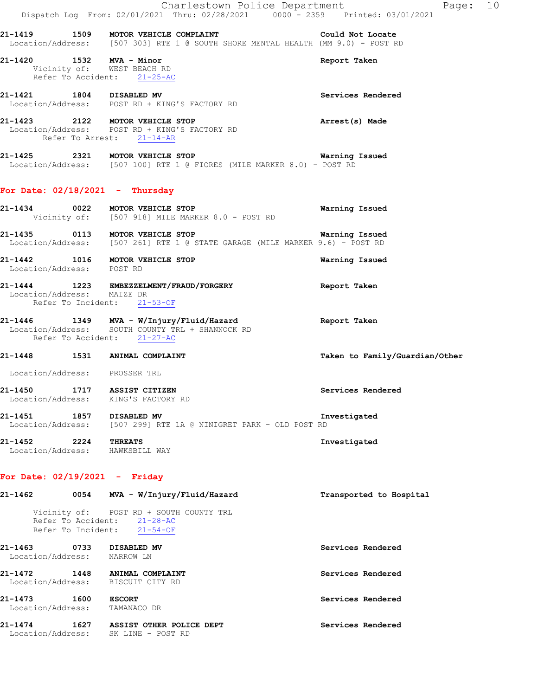|                            | Charlestown Police Department                                                                                                             |                                | Page: 10 |  |
|----------------------------|-------------------------------------------------------------------------------------------------------------------------------------------|--------------------------------|----------|--|
|                            | Dispatch Log From: 02/01/2021 Thru: 02/28/2021 0000 - 2359 Printed: 03/01/2021                                                            |                                |          |  |
|                            | 21-1419 1509 MOTOR VEHICLE COMPLAINT COULD Not Locate<br>Location/Address: [507 303] RTE 1 @ SOUTH SHORE MENTAL HEALTH (MM 9.0) - POST RD |                                |          |  |
|                            | 21-1420 1532 MVA - Minor<br>Vicinity of: WEST BEACH RD<br>Refer To Accident: 21-25-AC                                                     | Report Taken                   |          |  |
|                            | 21-1421 1804 DISABLED MV<br>Location/Address: POST RD + KING'S FACTORY RD                                                                 | Services Rendered              |          |  |
|                            | 21-1423 2122 MOTOR VEHICLE STOP<br>Location/Address: POST RD + KING'S FACTORY RD<br>Refer To Arrest: 21-14-AR                             | Arrest(s) Made                 |          |  |
|                            | 21-1425 2321 MOTOR VEHICLE STOP<br>Location/Address: [507 100] RTE 1 @ FIORES (MILE MARKER 8.0) - POST RD                                 | Warning Issued                 |          |  |
|                            | For Date: $02/18/2021$ - Thursday                                                                                                         |                                |          |  |
|                            | 21-1434 0022 MOTOR VEHICLE STOP<br>Vicinity of: [507 918] MILE MARKER 8.0 - POST RD                                                       | Warning Issued                 |          |  |
|                            | 21-1435 0113 MOTOR VEHICLE STOP CONTROL TO Marning Issued<br>Location/Address: [507 261] RTE 1 @ STATE GARAGE (MILE MARKER 9.6) - POST RD |                                |          |  |
| Location/Address: POST RD  | 21-1442 1016 MOTOR VEHICLE STOP                                                                                                           | Warning Issued                 |          |  |
| Location/Address: MAIZE DR | 21-1444 1223 EMBEZZELMENT/FRAUD/FORGERY<br>Refer To Incident: 21-53-OF                                                                    | Report Taken                   |          |  |
|                            | 21-1446 1349 MVA - W/Injury/Fluid/Hazard Report Taken<br>Location/Address: SOUTH COUNTY TRL + SHANNOCK RD<br>Refer To Accident: 21-27-AC  |                                |          |  |
|                            | 21-1448 1531 ANIMAL COMPLAINT                                                                                                             | Taken to Family/Guardian/Other |          |  |

Location/Address: PROSSER TRL

**21-1450 1717 ASSIST CITIZEN Services Rendered**  Location/Address: KING'S FACTORY RD

**21-1451 1857 DISABLED MV Investigated**  Location/Address: [507 299] RTE 1A @ NINIGRET PARK - OLD POST RD

**21-1452 2224 THREATS Investigated**  Location/Address: HAWKSBILL WAY

## **For Date: 02/19/2021 - Friday**

**21-1462 0054 MVA - W/Injury/Fluid/Hazard Transported to Hospital**  Vicinity of: POST RD + SOUTH COUNTY TRL Refer To Accident: 21-28-AC Refer To Incident: 21-54-OF **21-1463 0733 DISABLED MV Services Rendered**  Location/Address: NARROW LN **21-1472 1448 ANIMAL COMPLAINT Services Rendered**  Location/Address: BISCUIT CITY RD **21-1473 1600 ESCORT Services Rendered**  Location/Address: TAMANACO DR **21-1474 1627 ASSIST OTHER POLICE DEPT Services Rendered**  Location/Address: SK LINE - POST RD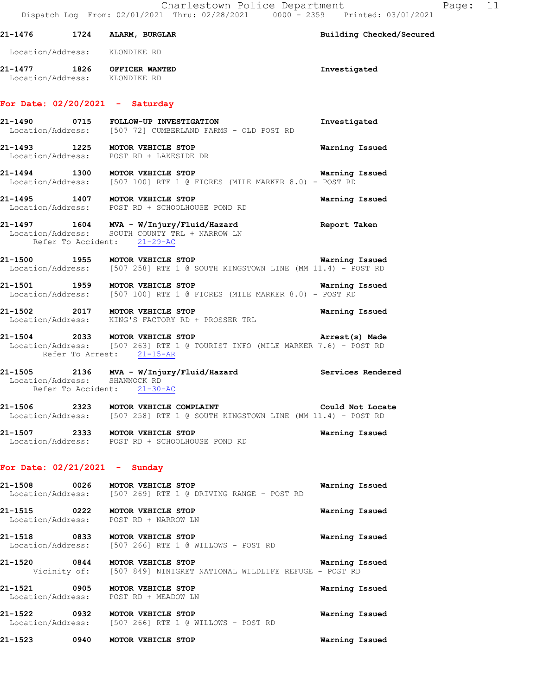| 21-1476 1724 ALARM, BURGLAR                                  |                                                                                                                                              | Building Checked/Secured |
|--------------------------------------------------------------|----------------------------------------------------------------------------------------------------------------------------------------------|--------------------------|
| Location/Address: KLONDIKE RD                                |                                                                                                                                              |                          |
| 21-1477 1826 OFFICER WANTED<br>Location/Address: KLONDIKE RD |                                                                                                                                              | Investigated             |
| For Date: $02/20/2021$ - Saturday                            |                                                                                                                                              |                          |
|                                                              | 21-1490 0715 FOLLOW-UP INVESTIGATION<br>Location/Address: [507 72] CUMBERLAND FARMS - OLD POST RD                                            | Investigated             |
|                                                              | 21-1493 1225 MOTOR VEHICLE STOP<br>Location/Address: POST RD + LAKESIDE DR                                                                   | Warning Issued           |
|                                                              | 21-1494 1300 MOTOR VEHICLE STOP<br>Location/Address: [507 100] RTE 1 @ FIORES (MILE MARKER 8.0) - POST RD                                    | Warning Issued           |
|                                                              | 21-1495 1407 MOTOR VEHICLE STOP<br>Location/Address: POST RD + SCHOOLHOUSE POND RD                                                           | <b>Warning Issued</b>    |
|                                                              | 21-1497 1604 MVA - W/Injury/Fluid/Hazard<br>Location/Address: SOUTH COUNTY TRL + NARROW LN<br>Refer To Accident: 21-29-AC                    | Report Taken             |
|                                                              | 1955 MOTOR VEHICLE STOP Warning Issued<br>Location/Address: [507 258] RTE 1 @ SOUTH KINGSTOWN LINE (MM 11.4) - POST RD                       |                          |
|                                                              | 21-1501 1959 MOTOR VEHICLE STOP MORE WERE RESERVED AND THE 1 G FIORES (MILE MARKER 8.0) - POST RD                                            | Warning Issued           |
|                                                              | 21-1502 2017 MOTOR VEHICLE STOP<br>Location/Address: KING'S FACTORY RD + PROSSER TRL                                                         | Warning Issued           |
|                                                              | 21-1504 2033 MOTOR VEHICLE STOP<br>Location/Address: [507 263] RTE 1 @ TOURIST INFO (MILE MARKER 7.6) - POST RD<br>Refer To Arrest: 21-15-AR | Arrest(s) Made           |
| Location/Address: SHANNOCK RD                                | 21-1505 2136 MVA - W/Injury/Fluid/Hazard Services Rendered<br>Refer To Accident: 21-30-AC                                                    |                          |
|                                                              | 21-1506 2323 MOTOR VEHICLE COMPLAINT COULD NOT COULD NOT LOCATION Address: [507 258] RTE 1 @ SOUTH KINGSTOWN LINE (MM 11.4) - POST RD        | Could Not Locate         |
|                                                              | 21-1507 2333 MOTOR VEHICLE STOP<br>Location/Address: POST RD + SCHOOLHOUSE POND RD                                                           | Warning Issued           |
| For Date: $02/21/2021$ - Sunday                              |                                                                                                                                              |                          |
|                                                              | 21-1508 0026 MOTOR VEHICLE STOP<br>Location/Address: [507 269] RTE 1 @ DRIVING RANGE - POST RD                                               | Warning Issued           |
|                                                              | 21-1515 0222 MOTOR VEHICLE STOP<br>Location/Address: POST RD + NARROW LN                                                                     | Warning Issued           |
|                                                              | 21-1518 0833 MOTOR VEHICLE STOP<br>Location/Address: [507 266] RTE 1 @ WILLOWS - POST RD                                                     | Warning Issued           |
|                                                              | 21-1520 0844 MOTOR VEHICLE STOP<br>Vicinity of: [507 849] NINIGRET NATIONAL WILDLIFE REFUGE - POST RD                                        | Warning Issued           |
|                                                              | 21-1521 0905 MOTOR VEHICLE STOP<br>Location/Address: POST RD + MEADOW LN                                                                     | Warning Issued           |
|                                                              | 21-1522 0932 MOTOR VEHICLE STOP<br>Location/Address: [507 266] RTE 1 @ WILLOWS - POST RD                                                     | Warning Issued           |

**21-1523 0940 MOTOR VEHICLE STOP Warning Issued**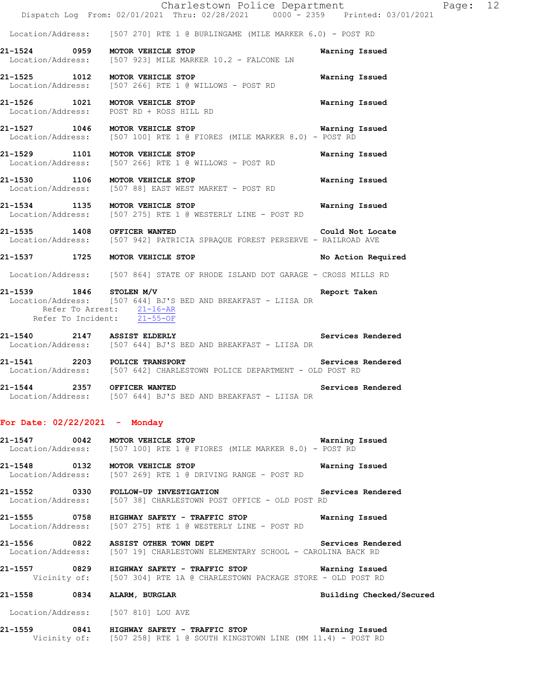Location/Address: [507 270] RTE 1 @ BURLINGAME (MILE MARKER 6.0) - POST RD

- **21-1524 0959 MOTOR VEHICLE STOP Warning Issued**  Location/Address: [507 923] MILE MARKER 10.2 - FALCONE LN
- **21-1525 1012 MOTOR VEHICLE STOP Warning Issued**  Location/Address: [507 266] RTE 1 @ WILLOWS - POST RD
- **21-1526 1021 MOTOR VEHICLE STOP Warning Issued**  Location/Address: POST RD + ROSS HILL RD
- **21-1527 1046 MOTOR VEHICLE STOP WATER STOP WATNING ISSUED**<br>Location/Address: [507 100] RTE 1 @ FIORES (MILE MARKER 8.0) POST RD [507 100] RTE 1 @ FIORES (MILE MARKER 8.0) - POST RD
- **21-1529 1101 MOTOR VEHICLE STOP Warning Issued**  Location/Address: [507 266] RTE 1 @ WILLOWS - POST RD
- **21-1530 1106 MOTOR VEHICLE STOP WARKET** POST RD **Warning Issued** Location/Address: [507 88] EAST WEST MARKET POST RD [507 88] EAST WEST MARKET - POST RD
- **21-1534 1135 MOTOR VEHICLE STOP Warning Issued**  Location/Address: [507 275] RTE 1 @ WESTERLY LINE - POST RD
- **21-1535 1408 OFFICER WANTED Could Not Locate**  Location/Address: [507 942] PATRICIA SPRAQUE FOREST PERSERVE - RAILROAD AVE
- **21-1537 1725 MOTOR VEHICLE STOP No Action Required**
- Location/Address: [507 864] STATE OF RHODE ISLAND DOT GARAGE CROSS MILLS RD
- **21-1539 1846 STOLEN M/V Report Taken**  Location/Address: [507 644] BJ'S BED AND BREAKFAST - LIISA DR Refer To Arrest: 21-16-AR Refer To Incident: 21-55-OF
- **21-1540 2147 ASSIST ELDERLY Services Rendered**  Location/Address: [507 644] BJ'S BED AND BREAKFAST - LIISA DR
- **21-1541 2203 POLICE TRANSPORT Examplement Services Rendered Example 1541 Examplement CONDICE DEPARTMENT** OLD POST RD [507 642] CHARLESTOWN POLICE DEPARTMENT - OLD POST RD
- **21-1544 2357 OFFICER WANTED Services Rendered**  Location/Address: [507 644] BJ'S BED AND BREAKFAST - LIISA DR

## **For Date: 02/22/2021 - Monday**

- **21-1547 0042 MOTOR VEHICLE STOP Warning Issued**  Location/Address: [507 100] RTE 1 @ FIORES (MILE MARKER 8.0) - POST RD
- **21-1548 0132 MOTOR VEHICLE STOP Warning Issued**  Location/Address: [507 269] RTE 1 @ DRIVING RANGE - POST RD
- **21-1552 0330 FOLLOW-UP INVESTIGATION Services Rendered**  Location/Address: [507 38] CHARLESTOWN POST OFFICE - OLD POST RD
- **21-1555 0758 HIGHWAY SAFETY TRAFFIC STOP Warning Issued**  Location/Address: [507 275] RTE 1 @ WESTERLY LINE - POST RD
- 21-1556 **0822 ASSIST OTHER TOWN DEPT Services Rendered** Location/Address: [507 19] CHARLESTOWN ELEMENTARY SCHOOL - CAROLINA BACK RD
- **21-1557 0829 HIGHWAY SAFETY TRAFFIC STOP Warning Issued**  Vicinity of: [507 304] RTE 1A @ CHARLESTOWN PACKAGE STORE - OLD POST RD

## **21-1558 0834 ALARM, BURGLAR Building Checked/Secured**

Location/Address: [507 810] LOU AVE

**21-1559 0841 HIGHWAY SAFETY - TRAFFIC STOP Warning Issued**  Vicinity of: [507 258] RTE 1 @ SOUTH KINGSTOWN LINE (MM 11.4) - POST RD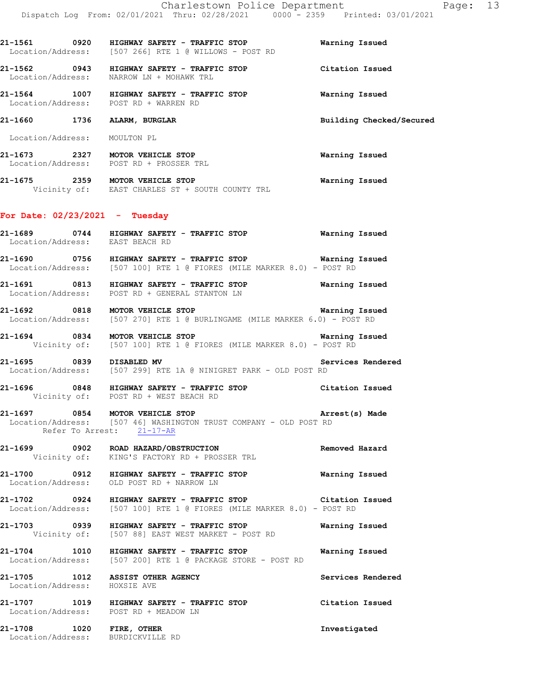**21-1561 0920 HIGHWAY SAFETY - TRAFFIC STOP Warning Issued**  Location/Address: [507 266] RTE 1 @ WILLOWS - POST RD **21-1562 0943 HIGHWAY SAFETY - TRAFFIC STOP Citation Issued**  Location/Address: NARROW LN + MOHAWK TRL **21-1564 1007 HIGHWAY SAFETY - TRAFFIC STOP Warning Issued**  Location/Address: POST RD + WARREN RD **21-1660 1736 ALARM, BURGLAR Building Checked/Secured**  Location/Address: MOULTON PL **21-1673 2327 MOTOR VEHICLE STOP Warning Issued** 

**21-1675 2359 MOTOR VEHICLE STOP Warning Issued**  Vicinity of: EAST CHARLES ST + SOUTH COUNTY TRL

#### **For Date: 02/23/2021 - Tuesday**

Location/Address: POST RD + PROSSER TRL

**21-1689 0744 HIGHWAY SAFETY - TRAFFIC STOP Warning Issued**  Location/Address: EAST BEACH RD

**21-1690 0756 HIGHWAY SAFETY - TRAFFIC STOP Warning Issued**  Location/Address: [507 100] RTE 1 @ FIORES (MILE MARKER 8.0) - POST RD

**21-1691 0813 HIGHWAY SAFETY - TRAFFIC STOP Warning Issued**  Location/Address: POST RD + GENERAL STANTON LN

**21-1692 0818 MOTOR VEHICLE STOP Warning Issued**  Location/Address: [507 270] RTE 1 @ BURLINGAME (MILE MARKER 6.0) - POST RD

**21-1694 0834 MOTOR VEHICLE STOP Warning Issued**<br>Vicinity of: [507 100] RTE 1 @ FIORES (MILE MARKER 8.0) - POST RD [507 100] RTE 1 @ FIORES (MILE MARKER 8.0) - POST RD

**21-1695** 0839 DISABLED MV **Services Rendered** Location/Address: [507 299] RTE 1A @ NINIGRET PARK - OLD POST RD [507 299] RTE 1A @ NINIGRET PARK - OLD POST RD

**21-1696 0848 HIGHWAY SAFETY - TRAFFIC STOP Citation Issued**  Vicinity of: POST RD + WEST BEACH RD

## **21-1697 0854 MOTOR VEHICLE STOP Arrest(s) Made**  Location/Address: [507 46] WASHINGTON TRUST COMPANY - OLD POST RD Refer To Arrest: 21-17-AR

**21-1699 0902 ROAD HAZARD/OBSTRUCTION Removed Hazard**  Vicinity of: KING'S FACTORY RD + PROSSER TRL

**21-1700 0912 HIGHWAY SAFETY - TRAFFIC STOP Warning Issued**  Location/Address: OLD POST RD + NARROW LN

**21-1702 0924 HIGHWAY SAFETY - TRAFFIC STOP Citation Issued**  Location/Address: [507 100] RTE 1 @ FIORES (MILE MARKER 8.0) - POST RD

**21-1703 0939 HIGHWAY SAFETY - TRAFFIC STOP Warning Issued**  Vicinity of: [507 88] EAST WEST MARKET - POST RD

**21-1704 1010 HIGHWAY SAFETY - TRAFFIC STOP Warning Issued**  Location/Address: [507 200] RTE 1 @ PACKAGE STORE - POST RD

**21-1705 1012 ASSIST OTHER AGENCY Services Rendered**  Location/Address: HOXSIE AVE

**21-1707 1019 HIGHWAY SAFETY - TRAFFIC STOP Citation Issued**  Location/Address: POST RD + MEADOW LN

**21-1708 1020 FIRE, OTHER Investigated**  Location/Address: BURDICKVILLE RD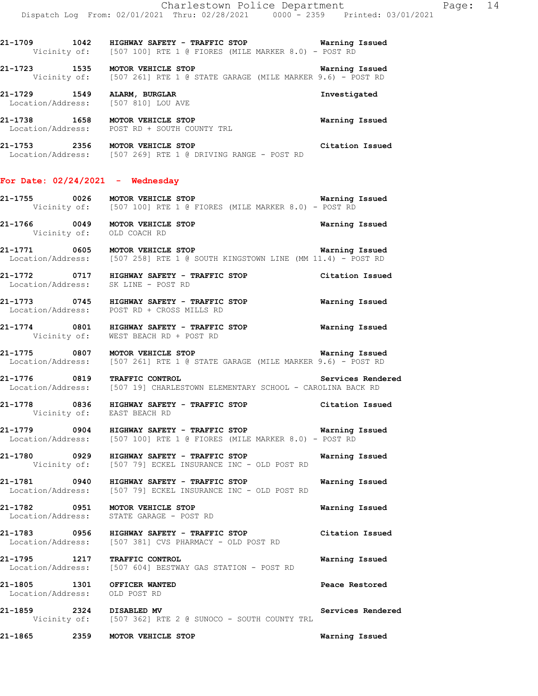**21-1709 1042 HIGHWAY SAFETY - TRAFFIC STOP Warning Issued**  Vicinity of: [507 100] RTE 1 @ FIORES (MILE MARKER 8.0) - POST RD

**21-1723 1535 MOTOR VEHICLE STOP Warning Issued**<br>Vicinity of: [507 261] RTE 1 @ STATE GARAGE (MILE MARKER 9.6) - POST RD [507 261] RTE 1 @ STATE GARAGE (MILE MARKER 9.6) - POST RD

**21-1729 1549 ALARM, BURGLAR Investigated**  Location/Address: [507 810] LOU AVE **21-1738 1658 MOTOR VEHICLE STOP Warning Issued**  Location/Address: POST RD + SOUTH COUNTY TRL

**21-1753 2356 MOTOR VEHICLE STOP Citation Issued**  Location/Address: [507 269] RTE 1 @ DRIVING RANGE - POST RD

#### **For Date: 02/24/2021 - Wednesday**

**21-1755 0026 MOTOR VEHICLE STOP Warning Issued**  Vicinity of: [507 100] RTE 1 @ FIORES (MILE MARKER 8.0) - POST RD

**21-1766 0049 MOTOR VEHICLE STOP Warning Issued**  Vicinity of: OLD COACH RD

**21-1771 0605 MOTOR VEHICLE STOP Warning Issued**  Location/Address: [507 258] RTE 1 @ SOUTH KINGSTOWN LINE (MM 11.4) - POST RD

**21-1772 0717 HIGHWAY SAFETY - TRAFFIC STOP Citation Issued**  Location/Address: SK LINE - POST RD

**21-1773 0745 HIGHWAY SAFETY - TRAFFIC STOP Warning Issued**  Location/Address: POST RD + CROSS MILLS RD

**21-1774 0801 HIGHWAY SAFETY - TRAFFIC STOP Warning Issued**  Vicinity of: WEST BEACH RD + POST RD

**21-1775 0807 MOTOR VEHICLE STOP WARKER 9.6) - POST RD**<br>Location/Address: [507 261] RTE 1 @ STATE GARAGE (MILE MARKER 9.6) - POST RD [507 261] RTE 1 @ STATE GARAGE (MILE MARKER 9.6) - POST RD

**21-1776 0819 TRAFFIC CONTROL Services Rendered**  Location/Address: [507 19] CHARLESTOWN ELEMENTARY SCHOOL - CAROLINA BACK RD

**21-1778 0836 HIGHWAY SAFETY - TRAFFIC STOP Citation Issued**  Vicinity of: EAST BEACH RD

**21-1779 0904 HIGHWAY SAFETY - TRAFFIC STOP Warning Issued**  Location/Address: [507 100] RTE 1 @ FIORES (MILE MARKER 8.0) - POST RD

**21-1780 0929 HIGHWAY SAFETY - TRAFFIC STOP Warning Issued**  Vicinity of: [507 79] ECKEL INSURANCE INC - OLD POST RD

**21-1781 0940 HIGHWAY SAFETY - TRAFFIC STOP Warning Issued**  Location/Address: [507 79] ECKEL INSURANCE INC - OLD POST RD

**21-1782 0951 MOTOR VEHICLE STOP Warning Issued**  Location/Address: STATE GARAGE - POST RD

**21-1783 0956 HIGHWAY SAFETY - TRAFFIC STOP Citation Issued**  Location/Address: [507 381] CVS PHARMACY - OLD POST RD

**21-1795 1217 TRAFFIC CONTROL Warning Issued**  Location/Address: [507 604] BESTWAY GAS STATION - POST RD

**21-1805 1301 OFFICER WANTED Reace Restored Peace Restored Peace Restored** Location/Address:

**21-1859 2324 DISABLED MV Services Rendered**  Vicinity of: [507 362] RTE 2 @ SUNOCO - SOUTH COUNTY TRL

**21-1865 2359 MOTOR VEHICLE STOP Warning Issued**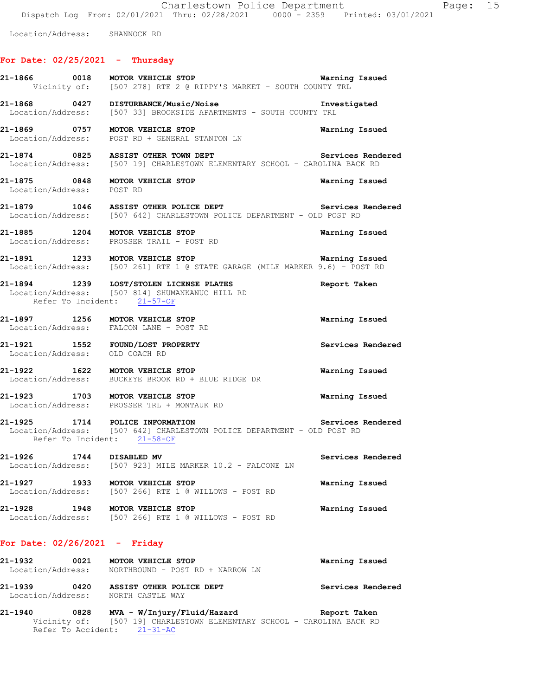Charlestown Police Department Page: 15 Dispatch Log From: 02/01/2021 Thru: 02/28/2021 0000 - 2359 Printed: 03/01/2021

Location/Address: SHANNOCK RD

## **For Date: 02/25/2021 - Thursday**

|                                                                            |                             | 21-1866 0018 MOTOR VEHICLE STOP 120 120 Marning Issued<br>Vicinity of: [507 278] RTE 2 @ RIPPY'S MARKET - SOUTH COUNTY TRL   |                       |
|----------------------------------------------------------------------------|-----------------------------|------------------------------------------------------------------------------------------------------------------------------|-----------------------|
| 21-1868 0427 DISTURBANCE/Music/Noise                                       |                             | Location/Address: [507 33] BROOKSIDE APARTMENTS - SOUTH COUNTY TRL                                                           | Investigated          |
|                                                                            |                             | 21-1869 0757 MOTOR VEHICLE STOP<br>Location/Address: POST RD + GENERAL STANTON LN                                            | Warning Issued        |
|                                                                            |                             | 21-1874 0825 ASSIST OTHER TOWN DEPT<br>Location/Address: [507 19] CHARLESTOWN ELEMENTARY SCHOOL - CAROLINA BACK RD           | Services Rendered     |
| 21-1875 0848 MOTOR VEHICLE STOP<br>Location/Address: POST RD               |                             |                                                                                                                              | Warning Issued        |
|                                                                            |                             | 21-1879 1046 ASSIST OTHER POLICE DEPT Services<br>Location/Address: [507 642] CHARLESTOWN POLICE DEPARTMENT - OLD POST RD    | Services Rendered     |
|                                                                            |                             | 21-1885 1204 MOTOR VEHICLE STOP<br>Location/Address: PROSSER TRAIL - POST RD                                                 | Warning Issued        |
|                                                                            |                             | 21-1891 1233 MOTOR VEHICLE STOP<br>Location/Address: [507 261] RTE 1 @ STATE GARAGE (MILE MARKER 9.6) - POST RD              | Warning Issued        |
|                                                                            | Refer To Incident: 21-57-OF | 21-1894 1239 LOST/STOLEN LICENSE PLATES<br>Location/Address: [507 814] SHUMANKANUC HILL RD                                   | Report Taken          |
| 21-1897 1256 MOTOR VEHICLE STOP<br>Location/Address: FALCON LANE - POST RD |                             |                                                                                                                              | Warning Issued        |
| 21-1921 1552 FOUND/LOST PROPERTY<br>Location/Address: OLD COACH RD         |                             |                                                                                                                              | Services Rendered     |
|                                                                            |                             | 21-1922 1622 MOTOR VEHICLE STOP<br>Location/Address: BUCKEYE BROOK RD + BLUE RIDGE DR                                        | Warning Issued        |
|                                                                            |                             | 21-1923 1703 MOTOR VEHICLE STOP<br>Location/Address: PROSSER TRL + MONTAUK RD                                                | <b>Warning Issued</b> |
|                                                                            | Refer To Incident: 21-58-OF | 21-1925 1714 POLICE INFORMATION Services Rendered<br>Location/Address: [507 642] CHARLESTOWN POLICE DEPARTMENT - OLD POST RD |                       |
| 21-1926 1744 DISABLED MV                                                   |                             | Location/Address: [507 923] MILE MARKER 10.2 - FALCONE LN                                                                    | Services Rendered     |
| 21-1927                                                                    | 1933 MOTOR VEHICLE STOP     | Location/Address: [507 266] RTE 1 @ WILLOWS - POST RD                                                                        | Warning Issued        |
| 21-1928                                                                    | 1948 MOTOR VEHICLE STOP     | Location/Address: [507 266] RTE 1 @ WILLOWS - POST RD                                                                        | Warning Issued        |
| For Date: $02/26/2021$ - Friday                                            |                             |                                                                                                                              |                       |
| 21-1932                                                                    | 0021 MOTOR VEHICLE STOP     | Location/Address: NORTHBOUND - POST RD + NARROW LN                                                                           | Warning Issued        |

**21-1939 0420 ASSIST OTHER POLICE DEPT Services Rendered**  Location/Address: NORTH CASTLE WAY

**21-1940 0828 MVA - W/Injury/Fluid/Hazard Report Taken**  Vicinity of: [507 19] CHARLESTOWN ELEMENTARY SCHOOL - CAROLINA BACK RD Refer To Accident: 21-31-AC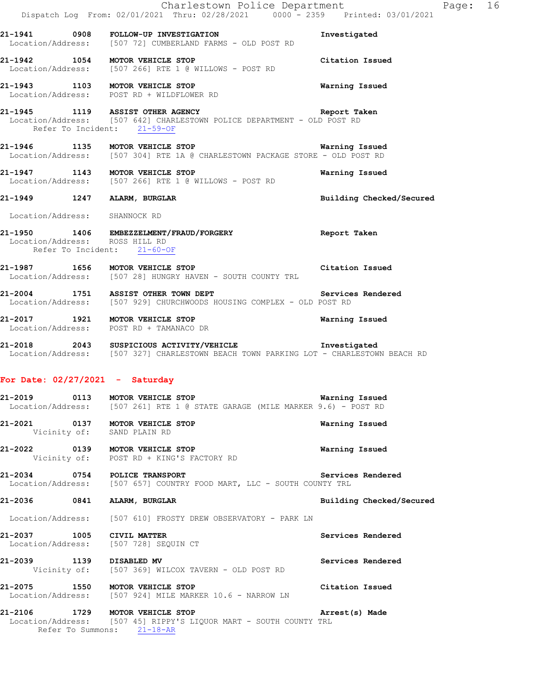|                                                               | Charlestown Police Department<br>Dispatch Log From: 02/01/2021 Thru: 02/28/2021 0000 - 2359 Printed: 03/01/2021<br>21-1941 0908 FOLLOW-UP INVESTIGATION<br>Location/Address: [507 72] CUMBERLAND FARMS - OLD POST RD | Investigated             | Page: 16 |  |
|---------------------------------------------------------------|----------------------------------------------------------------------------------------------------------------------------------------------------------------------------------------------------------------------|--------------------------|----------|--|
|                                                               | 21-1942 1054 MOTOR VEHICLE STOP<br>Location/Address: [507 266] RTE 1 @ WILLOWS - POST RD                                                                                                                             | Citation Issued          |          |  |
|                                                               | 21-1943 1103 MOTOR VEHICLE STOP<br>Location/Address: POST RD + WILDFLOWER RD                                                                                                                                         | Warning Issued           |          |  |
| Refer To Incident: 21-59-OF                                   | 21-1945 1119 ASSIST OTHER AGENCY Neport Taken<br>Location/Address: [507 642] CHARLESTOWN POLICE DEPARTMENT - OLD POST RD                                                                                             |                          |          |  |
|                                                               | 21-1946 1135 MOTOR VEHICLE STOP <b>National Manual Accord Manual Accord Manual Accord Manual Accord Manual Accord</b><br>Location/Address: [507 304] RTE 1A @ CHARLESTOWN PACKAGE STORE - OLD POST RD                |                          |          |  |
|                                                               | 21-1947 1143 MOTOR VEHICLE STOP<br>Location/Address: [507 266] RTE 1 @ WILLOWS - POST RD                                                                                                                             | Warning Issued           |          |  |
|                                                               | 21-1949 1247 ALARM, BURGLAR                                                                                                                                                                                          | Building Checked/Secured |          |  |
| Location/Address: SHANNOCK RD                                 |                                                                                                                                                                                                                      |                          |          |  |
| Location/Address: ROSS HILL RD<br>Refer To Incident: 21-60-OF | 21-1950 1406 EMBEZZELMENT/FRAUD/FORGERY Seport Taken                                                                                                                                                                 |                          |          |  |
|                                                               | Citation Issued<br>21-1987 1656 MOTOR VEHICLE STOP<br>Location/Address: [507 28] HUNGRY HAVEN - SOUTH COUNTY TRL                                                                                                     |                          |          |  |
|                                                               | 21-2004 1751 ASSIST OTHER TOWN DEPT Services Rendered Location/Address: [507 929] CHURCHWOODS HOUSING COMPLEX - OLD POST RD                                                                                          |                          |          |  |
|                                                               | 21-2017 1921 MOTOR VEHICLE STOP<br>Location/Address: POST RD + TAMANACO DR                                                                                                                                           | Warning Issued           |          |  |
|                                                               | 21-2018 2043 SUSPICIOUS ACTIVITY/VEHICLE <b>Subset of the SUSPICIOUS</b><br>Location/Address: [507 327] CHARLESTOWN BEACH TOWN PARKING LOT - CHARLESTOWN BEACH RD                                                    |                          |          |  |
| For Date: $02/27/2021$ - Saturday                             |                                                                                                                                                                                                                      |                          |          |  |
|                                                               | 21-2019 0113 MOTOR VEHICLE STOP<br>Location/Address: [507 261] RTE 1 @ STATE GARAGE (MILE MARKER 9.6) - POST RD                                                                                                      | Warning Issued           |          |  |
| Vicinity of: SAND PLAIN RD                                    | 21-2021 0137 MOTOR VEHICLE STOP                                                                                                                                                                                      | Warning Issued           |          |  |
|                                                               | 21-2022 0139 MOTOR VEHICLE STOP<br>Vicinity of: POST RD + KING'S FACTORY RD                                                                                                                                          | Warning Issued           |          |  |
|                                                               | 21-2034 0754 POLICE TRANSPORT<br>Location/Address: [507 657] COUNTRY FOOD MART, LLC - SOUTH COUNTY TRL                                                                                                               | Services Rendered        |          |  |
| 21-2036 0841 ALARM, BURGLAR                                   |                                                                                                                                                                                                                      | Building Checked/Secured |          |  |
|                                                               | Location/Address: [507 610] FROSTY DREW OBSERVATORY - PARK LN                                                                                                                                                        |                          |          |  |
| 21-2037 1005 CIVIL MATTER                                     | Location/Address: [507 728] SEQUIN CT                                                                                                                                                                                | Services Rendered        |          |  |
| 21-2039 1139 DISABLED MV                                      | Vicinity of: [507 369] WILCOX TAVERN - OLD POST RD                                                                                                                                                                   | Services Rendered        |          |  |
|                                                               | 21-2075 1550 MOTOR VEHICLE STOP<br>Location/Address: [507 924] MILE MARKER 10.6 - NARROW LN                                                                                                                          | Citation Issued          |          |  |
| 21-2106                                                       | 1729 MOTOR VEHICLE STOP<br>Location/Address: [507 45] RIPPY'S LIQUOR MART - SOUTH COUNTY TRL<br>Refer To Summons: 21-18-AR                                                                                           | Arrest(s) Made           |          |  |